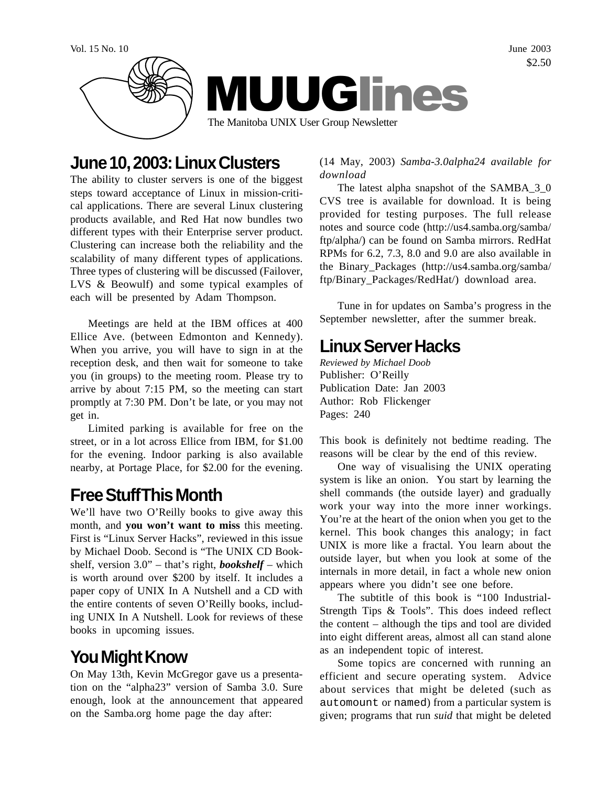

## **June 10, 2003: Linux Clusters**

The ability to cluster servers is one of the biggest steps toward acceptance of Linux in mission-critical applications. There are several Linux clustering products available, and Red Hat now bundles two different types with their Enterprise server product. Clustering can increase both the reliability and the scalability of many different types of applications. Three types of clustering will be discussed (Failover, LVS & Beowulf) and some typical examples of each will be presented by Adam Thompson.

Meetings are held at the IBM offices at 400 Ellice Ave. (between Edmonton and Kennedy). When you arrive, you will have to sign in at the reception desk, and then wait for someone to take you (in groups) to the meeting room. Please try to arrive by about 7:15 PM, so the meeting can start promptly at 7:30 PM. Don't be late, or you may not get in.

Limited parking is available for free on the street, or in a lot across Ellice from IBM, for \$1.00 for the evening. Indoor parking is also available nearby, at Portage Place, for \$2.00 for the evening.

# **Free Stuff This Month**

We'll have two O'Reilly books to give away this month, and **you won't want to miss** this meeting. First is "Linux Server Hacks", reviewed in this issue by Michael Doob. Second is "The UNIX CD Bookshelf, version 3.0" – that's right, *bookshelf* – which is worth around over \$200 by itself. It includes a paper copy of UNIX In A Nutshell and a CD with the entire contents of seven O'Reilly books, including UNIX In A Nutshell. Look for reviews of these books in upcoming issues.

# **You Might Know**

On May 13th, Kevin McGregor gave us a presentation on the "alpha23" version of Samba 3.0. Sure enough, look at the announcement that appeared on the Samba.org home page the day after:

(14 May, 2003) *Samba-3.0alpha24 available for download*

The latest alpha snapshot of the SAMBA\_3\_0 CVS tree is available for download. It is being provided for testing purposes. The full release notes and source code (http://us4.samba.org/samba/ ftp/alpha/) can be found on Samba mirrors. RedHat RPMs for 6.2, 7.3, 8.0 and 9.0 are also available in the Binary\_Packages (http://us4.samba.org/samba/ ftp/Binary\_Packages/RedHat/) download area.

Tune in for updates on Samba's progress in the September newsletter, after the summer break.

# **Linux Server Hacks**

*Reviewed by Michael Doob* Publisher: O'Reilly Publication Date: Jan 2003 Author: Rob Flickenger Pages: 240

This book is definitely not bedtime reading. The reasons will be clear by the end of this review.

One way of visualising the UNIX operating system is like an onion. You start by learning the shell commands (the outside layer) and gradually work your way into the more inner workings. You're at the heart of the onion when you get to the kernel. This book changes this analogy; in fact UNIX is more like a fractal. You learn about the outside layer, but when you look at some of the internals in more detail, in fact a whole new onion appears where you didn't see one before.

The subtitle of this book is "100 Industrial-Strength Tips & Tools". This does indeed reflect the content – although the tips and tool are divided into eight different areas, almost all can stand alone as an independent topic of interest.

Some topics are concerned with running an efficient and secure operating system. Advice about services that might be deleted (such as automount or named) from a particular system is given; programs that run *suid* that might be deleted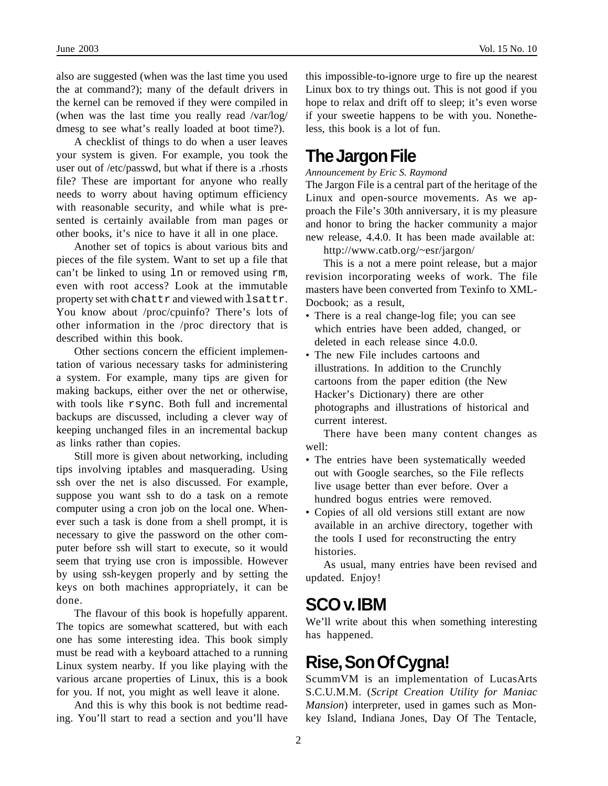also are suggested (when was the last time you used the at command?); many of the default drivers in the kernel can be removed if they were compiled in (when was the last time you really read /var/log/ dmesg to see what's really loaded at boot time?).

A checklist of things to do when a user leaves your system is given. For example, you took the user out of /etc/passwd, but what if there is a .rhosts file? These are important for anyone who really needs to worry about having optimum efficiency with reasonable security, and while what is presented is certainly available from man pages or other books, it's nice to have it all in one place.

Another set of topics is about various bits and pieces of the file system. Want to set up a file that can't be linked to using ln or removed using rm, even with root access? Look at the immutable property set with chattr and viewed with lsattr. You know about /proc/cpuinfo? There's lots of other information in the /proc directory that is described within this book.

Other sections concern the efficient implementation of various necessary tasks for administering a system. For example, many tips are given for making backups, either over the net or otherwise, with tools like rsync. Both full and incremental backups are discussed, including a clever way of keeping unchanged files in an incremental backup as links rather than copies.

Still more is given about networking, including tips involving iptables and masquerading. Using ssh over the net is also discussed. For example, suppose you want ssh to do a task on a remote computer using a cron job on the local one. Whenever such a task is done from a shell prompt, it is necessary to give the password on the other computer before ssh will start to execute, so it would seem that trying use cron is impossible. However by using ssh-keygen properly and by setting the keys on both machines appropriately, it can be done.

The flavour of this book is hopefully apparent. The topics are somewhat scattered, but with each one has some interesting idea. This book simply must be read with a keyboard attached to a running Linux system nearby. If you like playing with the various arcane properties of Linux, this is a book for you. If not, you might as well leave it alone.

And this is why this book is not bedtime reading. You'll start to read a section and you'll have

this impossible-to-ignore urge to fire up the nearest Linux box to try things out. This is not good if you hope to relax and drift off to sleep; it's even worse if your sweetie happens to be with you. Nonetheless, this book is a lot of fun.

### **The Jargon File**

*Announcement by Eric S. Raymond*

The Jargon File is a central part of the heritage of the Linux and open-source movements. As we approach the File's 30th anniversary, it is my pleasure and honor to bring the hacker community a major new release, 4.4.0. It has been made available at:

http://www.catb.org/~esr/jargon/

This is a not a mere point release, but a major revision incorporating weeks of work. The file masters have been converted from Texinfo to XML-Docbook; as a result,

- There is a real change-log file; you can see which entries have been added, changed, or deleted in each release since 4.0.0.
- The new File includes cartoons and illustrations. In addition to the Crunchly cartoons from the paper edition (the New Hacker's Dictionary) there are other photographs and illustrations of historical and current interest.

There have been many content changes as well:

- The entries have been systematically weeded out with Google searches, so the File reflects live usage better than ever before. Over a hundred bogus entries were removed.
- Copies of all old versions still extant are now available in an archive directory, together with the tools I used for reconstructing the entry histories.

As usual, many entries have been revised and updated. Enjoy!

### **SCO v. IBM**

We'll write about this when something interesting has happened.

## **Rise, Son Of Cygna!**

ScummVM is an implementation of LucasArts S.C.U.M.M. (*Script Creation Utility for Maniac Mansion*) interpreter, used in games such as Monkey Island, Indiana Jones, Day Of The Tentacle,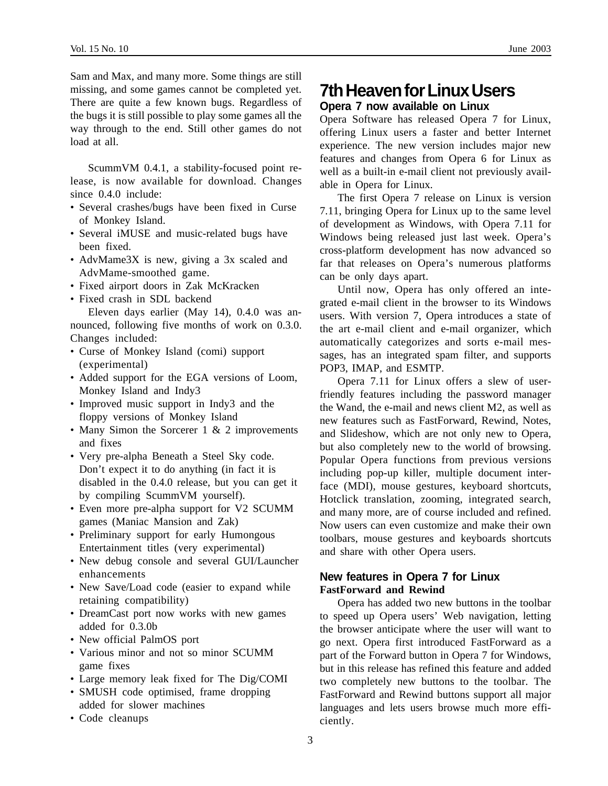Sam and Max, and many more. Some things are still missing, and some games cannot be completed yet. There are quite a few known bugs. Regardless of the bugs it is still possible to play some games all the way through to the end. Still other games do not load at all.

ScummVM 0.4.1, a stability-focused point release, is now available for download. Changes since 0.4.0 include:

- Several crashes/bugs have been fixed in Curse of Monkey Island.
- Several iMUSE and music-related bugs have been fixed.
- AdvMame3X is new, giving a 3x scaled and AdvMame-smoothed game.
- Fixed airport doors in Zak McKracken
- Fixed crash in SDL backend

Eleven days earlier (May 14), 0.4.0 was announced, following five months of work on 0.3.0. Changes included:

- Curse of Monkey Island (comi) support (experimental)
- Added support for the EGA versions of Loom, Monkey Island and Indy3
- Improved music support in Indy3 and the floppy versions of Monkey Island
- Many Simon the Sorcerer 1 & 2 improvements and fixes
- Very pre-alpha Beneath a Steel Sky code. Don't expect it to do anything (in fact it is disabled in the 0.4.0 release, but you can get it by compiling ScummVM yourself).
- Even more pre-alpha support for V2 SCUMM games (Maniac Mansion and Zak)
- Preliminary support for early Humongous Entertainment titles (very experimental)
- New debug console and several GUI/Launcher enhancements
- New Save/Load code (easier to expand while retaining compatibility)
- DreamCast port now works with new games added for 0.3.0b
- New official PalmOS port
- Various minor and not so minor SCUMM game fixes
- Large memory leak fixed for The Dig/COMI
- SMUSH code optimised, frame dropping added for slower machines
- Code cleanups

### **7th Heaven for Linux Users Opera 7 now available on Linux**

Opera Software has released Opera 7 for Linux, offering Linux users a faster and better Internet experience. The new version includes major new features and changes from Opera 6 for Linux as well as a built-in e-mail client not previously available in Opera for Linux.

The first Opera 7 release on Linux is version 7.11, bringing Opera for Linux up to the same level of development as Windows, with Opera 7.11 for Windows being released just last week. Opera's cross-platform development has now advanced so far that releases on Opera's numerous platforms can be only days apart.

Until now, Opera has only offered an integrated e-mail client in the browser to its Windows users. With version 7, Opera introduces a state of the art e-mail client and e-mail organizer, which automatically categorizes and sorts e-mail messages, has an integrated spam filter, and supports POP3, IMAP, and ESMTP.

Opera 7.11 for Linux offers a slew of userfriendly features including the password manager the Wand, the e-mail and news client M2, as well as new features such as FastForward, Rewind, Notes, and Slideshow, which are not only new to Opera, but also completely new to the world of browsing. Popular Opera functions from previous versions including pop-up killer, multiple document interface (MDI), mouse gestures, keyboard shortcuts, Hotclick translation, zooming, integrated search, and many more, are of course included and refined. Now users can even customize and make their own toolbars, mouse gestures and keyboards shortcuts and share with other Opera users.

#### **New features in Opera 7 for Linux FastForward and Rewind**

Opera has added two new buttons in the toolbar to speed up Opera users' Web navigation, letting the browser anticipate where the user will want to go next. Opera first introduced FastForward as a part of the Forward button in Opera 7 for Windows, but in this release has refined this feature and added two completely new buttons to the toolbar. The FastForward and Rewind buttons support all major languages and lets users browse much more efficiently.